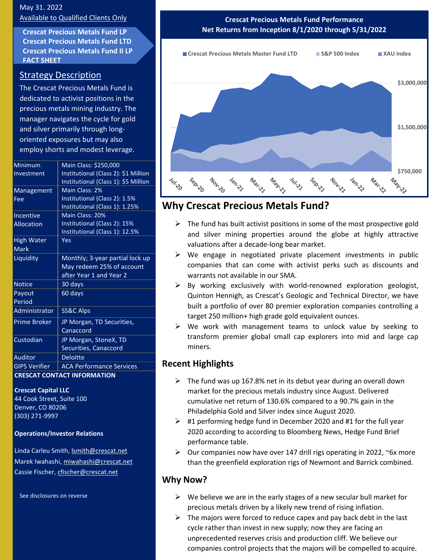## May 31. 2022 Available to Qualified Clients Only

**Crescat Precious Metals Fund LP Crescat Precious Metals Fund LTD Crescat Precious Metals Fund II LP FACT SHEET**

## Strategy Description

The Crescat Precious Metals Fund is dedicated to activist positions in the precious metals mining industry. The manager navigates the cycle for gold and silver primarily through longoriented exposures but may also employ shorts and modest leverage.

| Minimum                            | Main Class: \$250,000                |
|------------------------------------|--------------------------------------|
| Investment                         | Institutional (Class 2): \$1 Million |
|                                    | Institutional (Class 1): \$5 Million |
| Management                         | Main Class: 2%                       |
| Fee                                | Institutional (Class 2): 1.5%        |
|                                    | Institutional (Class 1): 1.25%       |
| Incentive                          | Main Class: 20%                      |
| <b>Allocation</b>                  | Institutional (Class 2): 15%         |
|                                    | Institutional (Class 1): 12.5%       |
| High Water                         | Yes                                  |
| <b>Mark</b>                        |                                      |
| Liquidity                          | Monthly; 3-year partial lock up      |
|                                    | May redeem 25% of account            |
|                                    | after Year 1 and Year 2              |
| <b>Notice</b>                      | 30 days                              |
| Payout                             | 60 days                              |
| Period                             |                                      |
| Administrator                      | SS&C Alps                            |
| <b>Prime Broker</b>                | JP Morgan, TD Securities,            |
|                                    | Canaccord                            |
| Custodian                          | JP Morgan, StoneX, TD                |
|                                    | Securities, Canaccord                |
| <b>Auditor</b>                     | <b>Deloitte</b>                      |
| <b>GIPS Verifier</b>               | <b>ACA Performance Services</b>      |
| <b>CRESCAT CONTACT INFORMATION</b> |                                      |

#### **Crescat Capital LLC**

44 Cook Street, Suite 100 Denver, CO 80206 (303) 271-9997

### **Operations/Investor Relations**

Linda Carleu Smith, [lsmith@crescat.net](mailto:lsmith@crescat.net) Marek Iwahashi, miwahashi@crescat.net Cassie Fischer, cfischer@crescat.net

See disclosures on reverse

**Crescat Precious Metals Fund Performance Net Returns from Inception 8/1/2020 through 5/31/2022**



# **Why Crescat Precious Metals Fund?**

- $\triangleright$  The fund has built activist positions in some of the most prospective gold and silver mining properties around the globe at highly attractive valuations after a decade-long bear market.
- ➢ We engage in negotiated private placement investments in public companies that can come with activist perks such as discounts and warrants not available in our SMA.
- $\triangleright$  By working exclusively with world-renowned exploration geologist, Quinton Hennigh, as Crescat's Geologic and Technical Director, we have built a portfolio of over 80 premier exploration companies controlling a target 250 million+ high grade gold equivalent ounces.
- ➢ We work with management teams to unlock value by seeking to transform premier global small cap explorers into mid and large cap miners.

# **Recent Highlights**

- $\triangleright$  The fund was up 167.8% net in its debut year during an overall down market for the precious metals industry since August. Delivered cumulative net return of 130.6% compared to a 90.7% gain in the Philadelphia Gold and Silver index since August 2020.
- $\geq$  #1 performing hedge fund in December 2020 and #1 for the full year 2020 according to according to Bloomberg News, Hedge Fund Brief performance table.
- $\triangleright$  Our companies now have over 147 drill rigs operating in 2022, ~6x more than the greenfield exploration rigs of Newmont and Barrick combined.

# **Why Now?**

- $\triangleright$  We believe we are in the early stages of a new secular bull market for precious metals driven by a likely new trend of rising inflation.
- $\triangleright$  The majors were forced to reduce capex and pay back debt in the last cycle rather than invest in new supply; now they are facing an unprecedented reserves crisis and production cliff. We believe our companies control projects that the majors will be compelled to acquire.